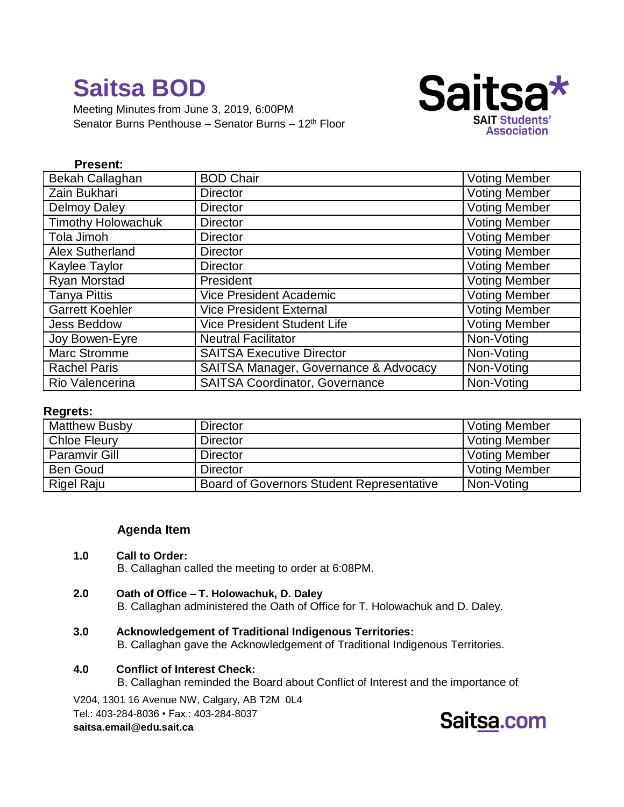Meeting Minutes from June 3, 2019, 6:00PM Senator Burns Penthouse – Senator Burns – 12<sup>th</sup> Floor



## **Present:**

| Bekah Callaghan           | <b>BOD Chair</b>                      | <b>Voting Member</b> |
|---------------------------|---------------------------------------|----------------------|
| Zain Bukhari              | <b>Director</b>                       | <b>Voting Member</b> |
| <b>Delmoy Daley</b>       | <b>Director</b>                       | <b>Voting Member</b> |
| <b>Timothy Holowachuk</b> | <b>Director</b>                       | <b>Voting Member</b> |
| Tola Jimoh                | <b>Director</b>                       | <b>Voting Member</b> |
| <b>Alex Sutherland</b>    | <b>Director</b>                       | <b>Voting Member</b> |
| Kaylee Taylor             | <b>Director</b>                       | <b>Voting Member</b> |
| Ryan Morstad              | President                             | <b>Voting Member</b> |
| <b>Tanya Pittis</b>       | <b>Vice President Academic</b>        | <b>Voting Member</b> |
| <b>Garrett Koehler</b>    | <b>Vice President External</b>        | <b>Voting Member</b> |
| <b>Jess Beddow</b>        | <b>Vice President Student Life</b>    | <b>Voting Member</b> |
| Joy Bowen-Eyre            | <b>Neutral Facilitator</b>            | Non-Voting           |
| <b>Marc Stromme</b>       | <b>SAITSA Executive Director</b>      | Non-Voting           |
| <b>Rachel Paris</b>       | SAITSA Manager, Governance & Advocacy | Non-Voting           |
| Rio Valencerina           | <b>SAITSA Coordinator, Governance</b> | Non-Voting           |

#### **Regrets:**

| <b>Matthew Busby</b> | <b>Director</b>                           | <b>Voting Member</b> |
|----------------------|-------------------------------------------|----------------------|
| <b>Chloe Fleury</b>  | <b>Director</b>                           | <b>Voting Member</b> |
| <b>Paramvir Gill</b> | <b>Director</b>                           | <b>Voting Member</b> |
| <b>Ben Goud</b>      | <b>Director</b>                           | <b>Voting Member</b> |
| <b>Rigel Raju</b>    | Board of Governors Student Representative | Non-Voting           |

## **Agenda Item**

#### **1.0 Call to Order:**

B. Callaghan called the meeting to order at 6:08PM.

**2.0 Oath of Office – T. Holowachuk, D. Daley**

B. Callaghan administered the Oath of Office for T. Holowachuk and D. Daley.

- **3.0 Acknowledgement of Traditional Indigenous Territories:** B. Callaghan gave the Acknowledgement of Traditional Indigenous Territories.
- **4.0 Conflict of Interest Check:**
	- B. Callaghan reminded the Board about Conflict of Interest and the importance of

V204, 1301 16 Avenue NW, Calgary, AB T2M 0L4 Tel.: 403-284-8036 • Fax.: 403-284-8037 **saitsa.email@edu.sait.ca**

## Saitsa.com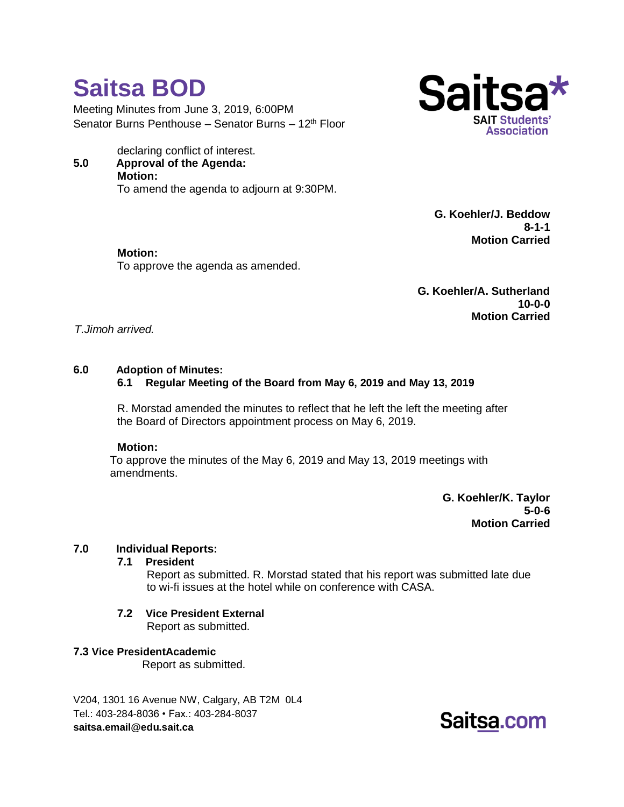Meeting Minutes from June 3, 2019, 6:00PM Senator Burns Penthouse – Senator Burns – 12<sup>th</sup> Floor

declaring conflict of interest. **5.0 Approval of the Agenda: Motion:** To amend the agenda to adjourn at 9:30PM.

To approve the agenda as amended.



**G. Koehler/J. Beddow 8-1-1 Motion Carried**

**G. Koehler/A. Sutherland 10-0-0 Motion Carried**

#### *T.Jimoh arrived.*

#### **6.0 Adoption of Minutes:**

**Saitsa BOD**

**Motion:**

#### **6.1 Regular Meeting of the Board from May 6, 2019 and May 13, 2019**

R. Morstad amended the minutes to reflect that he left the left the meeting after the Board of Directors appointment process on May 6, 2019.

#### **Motion:**

To approve the minutes of the May 6, 2019 and May 13, 2019 meetings with amendments.

> **G. Koehler/K. Taylor 5-0-6 Motion Carried**

#### **7.0 Individual Reports:**

#### **7.1 President**

Report as submitted. R. Morstad stated that his report was submitted late due to wi-fi issues at the hotel while on conference with CASA.

**7.2 Vice President External** Report as submitted.

#### **7.3 Vice PresidentAcademic**

Report as submitted.

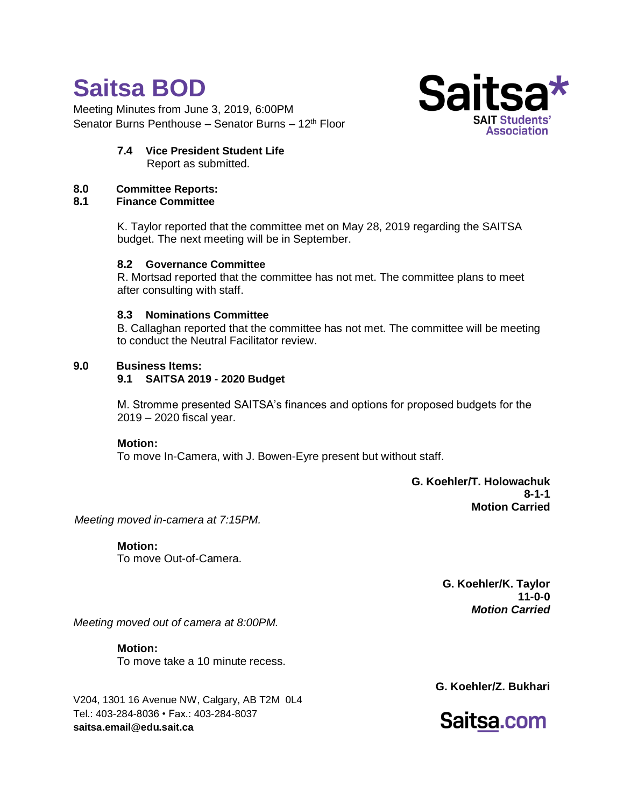Meeting Minutes from June 3, 2019, 6:00PM Senator Burns Penthouse – Senator Burns – 12<sup>th</sup> Floor



**7.4 Vice President Student Life** Report as submitted.

## **8.0 Committee Reports:**

**8.1 Finance Committee**

K. Taylor reported that the committee met on May 28, 2019 regarding the SAITSA budget. The next meeting will be in September.

## **8.2 Governance Committee**

R. Mortsad reported that the committee has not met. The committee plans to meet after consulting with staff.

## **8.3 Nominations Committee**

B. Callaghan reported that the committee has not met. The committee will be meeting to conduct the Neutral Facilitator review.

## **9.0 Business Items:**

## **9.1 SAITSA 2019 - 2020 Budget**

M. Stromme presented SAITSA's finances and options for proposed budgets for the 2019 – 2020 fiscal year.

#### **Motion:**

To move In-Camera, with J. Bowen-Eyre present but without staff.

**G. Koehler/T. Holowachuk 8-1-1 Motion Carried**

*Meeting moved in-camera at 7:15PM.*

**Motion:** To move Out-of-Camera.

> **G. Koehler/K. Taylor 11-0-0** *Motion Carried*

*Meeting moved out of camera at 8:00PM.*

**Motion:** To move take a 10 minute recess.

V204, 1301 16 Avenue NW, Calgary, AB T2M 0L4 Tel.: 403-284-8036 • Fax.: 403-284-8037 **saitsa.email@edu.sait.ca**

**G. Koehler/Z. Bukhari**

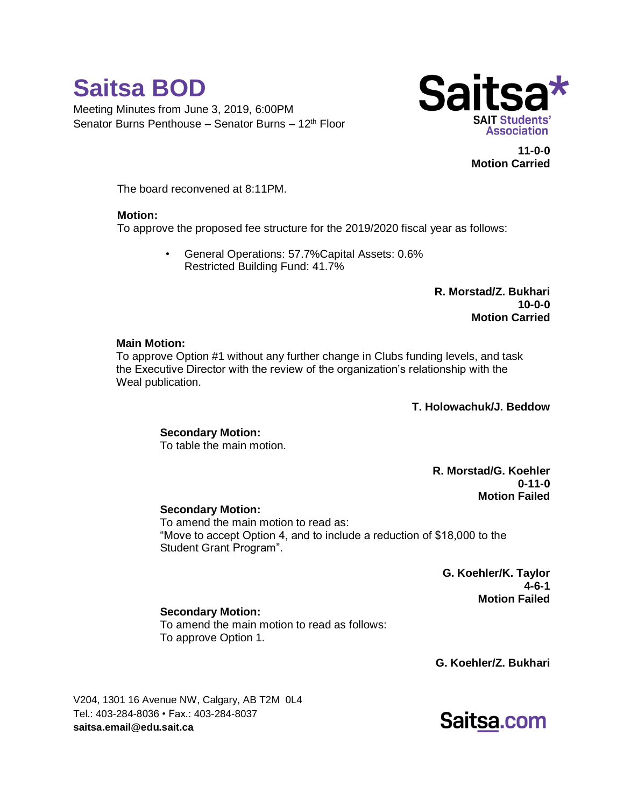



**11-0-0 Motion Carried**

The board reconvened at 8:11PM.

#### **Motion:**

To approve the proposed fee structure for the 2019/2020 fiscal year as follows:

• General Operations: 57.7%Capital Assets: 0.6% Restricted Building Fund: 41.7%

> **R. Morstad/Z. Bukhari 10-0-0 Motion Carried**

#### **Main Motion:**

To approve Option #1 without any further change in Clubs funding levels, and task the Executive Director with the review of the organization's relationship with the Weal publication.

**T. Holowachuk/J. Beddow**

## **Secondary Motion:**

To table the main motion.

**R. Morstad/G. Koehler 0-11-0 Motion Failed**

#### **Secondary Motion:**

To amend the main motion to read as: "Move to accept Option 4, and to include a reduction of \$18,000 to the Student Grant Program".

> **G. Koehler/K. Taylor 4-6-1 Motion Failed**

#### **Secondary Motion:**

To amend the main motion to read as follows: To approve Option 1.

**G. Koehler/Z. Bukhari**

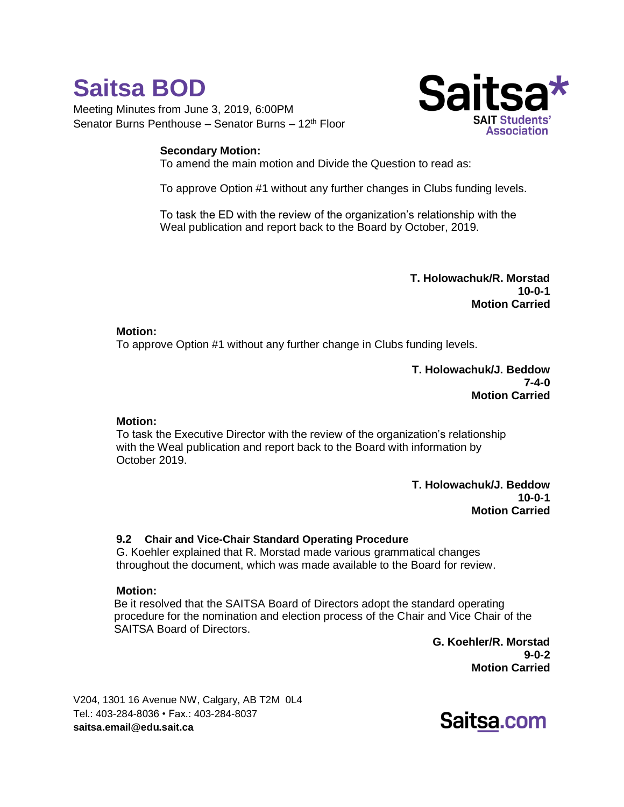Meeting Minutes from June 3, 2019, 6:00PM Senator Burns Penthouse – Senator Burns – 12<sup>th</sup> Floor

## **Secondary Motion:**



To amend the main motion and Divide the Question to read as:

To approve Option #1 without any further changes in Clubs funding levels.

To task the ED with the review of the organization's relationship with the Weal publication and report back to the Board by October, 2019.

> **T. Holowachuk/R. Morstad 10-0-1 Motion Carried**

## **Motion:**

To approve Option #1 without any further change in Clubs funding levels.

**T. Holowachuk/J. Beddow 7-4-0 Motion Carried**

## **Motion:**

To task the Executive Director with the review of the organization's relationship with the Weal publication and report back to the Board with information by October 2019.

> **T. Holowachuk/J. Beddow 10-0-1 Motion Carried**

## **9.2 Chair and Vice-Chair Standard Operating Procedure**

G. Koehler explained that R. Morstad made various grammatical changes throughout the document, which was made available to the Board for review.

#### **Motion:**

Be it resolved that the SAITSA Board of Directors adopt the standard operating procedure for the nomination and election process of the Chair and Vice Chair of the SAITSA Board of Directors.

**G. Koehler/R. Morstad 9-0-2 Motion Carried**

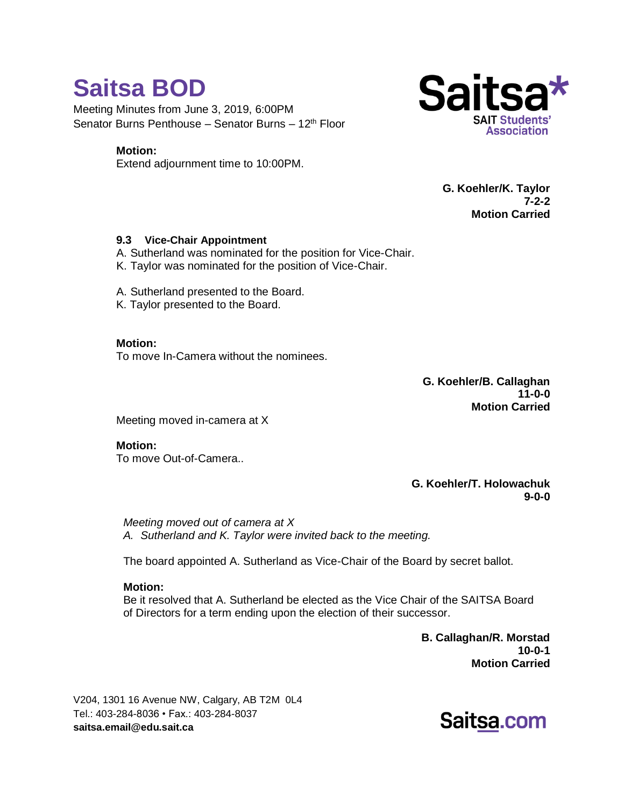Meeting Minutes from June 3, 2019, 6:00PM Senator Burns Penthouse – Senator Burns – 12<sup>th</sup> Floor

## **Motion:**

Extend adjournment time to 10:00PM.



**G. Koehler/K. Taylor 7-2-2 Motion Carried**

## **9.3 Vice-Chair Appointment**

A. Sutherland was nominated for the position for Vice-Chair.

K. Taylor was nominated for the position of Vice-Chair.

A. Sutherland presented to the Board.

K. Taylor presented to the Board.

**Motion:**

To move In-Camera without the nominees.

**G. Koehler/B. Callaghan 11-0-0 Motion Carried**

Meeting moved in-camera at X

**Motion:** To move Out-of-Camera..

> **G. Koehler/T. Holowachuk 9-0-0**

*Meeting moved out of camera at X A. Sutherland and K. Taylor were invited back to the meeting.*

The board appointed A. Sutherland as Vice-Chair of the Board by secret ballot.

## **Motion:**

Be it resolved that A. Sutherland be elected as the Vice Chair of the SAITSA Board of Directors for a term ending upon the election of their successor.

> **B. Callaghan/R. Morstad 10-0-1 Motion Carried**

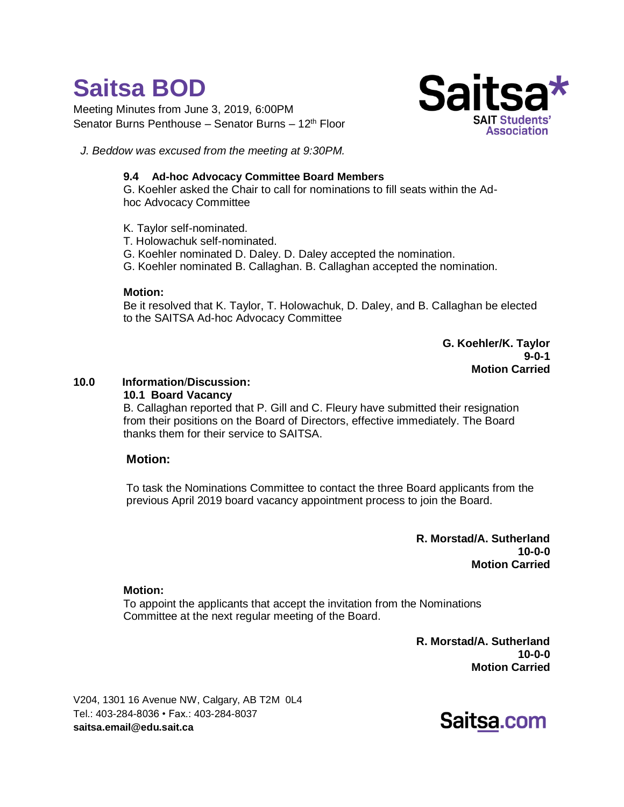Meeting Minutes from June 3, 2019, 6:00PM Senator Burns Penthouse – Senator Burns – 12<sup>th</sup> Floor



*J. Beddow was excused from the meeting at 9:30PM.*

## **9.4 Ad-hoc Advocacy Committee Board Members**

G. Koehler asked the Chair to call for nominations to fill seats within the Adhoc Advocacy Committee

- K. Taylor self-nominated.
- T. Holowachuk self-nominated.
- G. Koehler nominated D. Daley. D. Daley accepted the nomination.
- G. Koehler nominated B. Callaghan. B. Callaghan accepted the nomination.

#### **Motion:**

Be it resolved that K. Taylor, T. Holowachuk, D. Daley, and B. Callaghan be elected to the SAITSA Ad-hoc Advocacy Committee

> **G. Koehler/K. Taylor 9-0-1 Motion Carried**

## **10.0 Information**/**Discussion:**

## **10.1 Board Vacancy**

B. Callaghan reported that P. Gill and C. Fleury have submitted their resignation from their positions on the Board of Directors, effective immediately. The Board thanks them for their service to SAITSA.

## **Motion:**

To task the Nominations Committee to contact the three Board applicants from the previous April 2019 board vacancy appointment process to join the Board.

> **R. Morstad/A. Sutherland 10-0-0 Motion Carried**

#### **Motion:**

To appoint the applicants that accept the invitation from the Nominations Committee at the next regular meeting of the Board.

> **R. Morstad/A. Sutherland 10-0-0 Motion Carried**